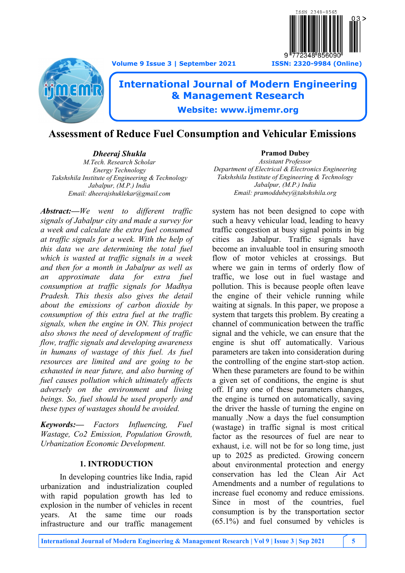**Volume 9 Issue 3 | September 2021 ISSN: 2320-9984 (Online)**





# **International Journal of Modern Engineering & Management Research**

**Website: www.ijmemr.org**

## **Assessment of Reduce Fuel Consumption and Vehicular Emissions**

*Dheeraj Shukla M.Tech. Research Scholar Energy Technology Takshshila Institute of Engineering & Technology Jabalpur, (M.P.) India Email: dheerajshuklekar@gmail.com*

*Abstract:—We went to different traffic signals of Jabalpur city and made a survey for a week and calculate the extra fuel consumed at traffic signals for a week. With the help of this data we are determining the total fuel which is wasted at traffic signals in a week and then for a month in Jabalpur as well as an approximate data for extra fuel consumption at traffic signals for Madhya Pradesh. This thesis also gives the detail about the emissions of carbon dioxide by consumption of this extra fuel at the traffic signals, when the engine in ON. This project also shows the need of development of traffic flow, traffic signals and developing awareness in humans of wastage of this fuel. As fuel resources are limited and are going to be exhausted in near future, and also burning of fuel causes pollution which ultimately affects adversely on the environment and living beings. So, fuel should be used properly and these types of wastages should be avoided.* 

*Keywords:— Factors Influencing, Fuel Wastage, Co2 Emission, Population Growth, Urbanization Economic Development.*

## **1. INTRODUCTION**

In developing countries like India, rapid urbanization and industrialization coupled with rapid population growth has led to explosion in the number of vehicles in recent years. At the same time our roads infrastructure and our traffic management

#### **Pramod Dubey** *Assistant Professor Department of Electrical & Electronics Engineering Takshshila Institute of Engineering & Technology Jabalpur, (M.P.) India Email: pramoddubey@takshshila.org*

system has not been designed to cope with such a heavy vehicular load, leading to heavy traffic congestion at busy signal points in big cities as Jabalpur. Traffic signals have become an invaluable tool in ensuring smooth flow of motor vehicles at crossings. But where we gain in terms of orderly flow of traffic, we lose out in fuel wastage and pollution. This is because people often leave the engine of their vehicle running while waiting at signals. In this paper, we propose a system that targets this problem. By creating a channel of communication between the traffic signal and the vehicle, we can ensure that the engine is shut off automatically. Various parameters are taken into consideration during the controlling of the engine start-stop action. When these parameters are found to be within a given set of conditions, the engine is shut off. If any one of these parameters changes, the engine is turned on automatically, saving the driver the hassle of turning the engine on manually .Now a days the fuel consumption (wastage) in traffic signal is most critical factor as the resources of fuel are near to exhaust, i.e. will not be for so long time, just up to 2025 as predicted. Growing concern about environmental protection and energy conservation has led the Clean Air Act Amendments and a number of regulations to increase fuel economy and reduce emissions. Since in most of the countries, fuel consumption is by the transportation sector (65.1%) and fuel consumed by vehicles is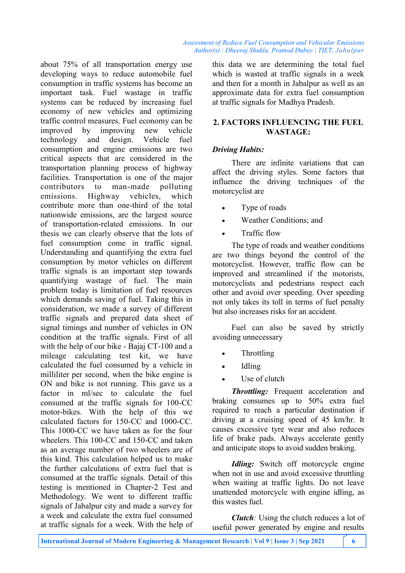about 75% of all transportation energy use developing ways to reduce automobile fuel consumption in traffic systems has become an important task. Fuel wastage in traffic systems can be reduced by increasing fuel economy of new vehicles and optimizing traffic control measures. Fuel economy can be improved by improving new vehicle technology and design. Vehicle fuel consumption and engine emissions are two critical aspects that are considered in the transportation planning process of highway facilities. Transportation is one of the major contributors to man-made polluting emissions. Highway vehicles, which contribute more than one-third of the total nationwide emissions, are the largest source of transportation-related emissions. In our thesis we can clearly observe that the lots of fuel consumption come in traffic signal. Understanding and quantifying the extra fuel consumption by motor vehicles on different traffic signals is an important step towards quantifying wastage of fuel. The main problem today is limitation of fuel resources which demands saving of fuel. Taking this in consideration, we made a survey of different traffic signals and prepared data sheet of signal timings and number of vehicles in ON condition at the traffic signals. First of all with the help of our bike - Bajaj CT-100 and a mileage calculating test kit, we have calculated the fuel consumed by a vehicle in milliliter per second, when the bike engine is ON and bike is not running. This gave us a factor in ml/sec to calculate the fuel consumed at the traffic signals for 100-CC motor-bikes. With the help of this we calculated factors for 150-CC and 1000-CC. This 1000-CC we have taken as for the four wheelers. This 100-CC and 150-CC and taken as an average number of two wheelers are of this kind. This calculation helped us to make the further calculations of extra fuel that is consumed at the traffic signals. Detail of this testing is mentioned in Chapter-2 Test and Methodology. We went to different traffic signals of Jabalpur city and made a survey for a week and calculate the extra fuel consumed at traffic signals for a week. With the help of

this data we are determining the total fuel which is wasted at traffic signals in a week and then for a month in Jabalpur as well as an approximate data for extra fuel consumption at traffic signals for Madhya Pradesh.

## **2. FACTORS INFLUENCING THE FUEL WASTAGE:**

## *Driving Habits:*

There are infinite variations that can affect the driving styles. Some factors that influence the driving techniques of the motorcyclist are

- Type of roads
- Weather Conditions; and
- Traffic flow

The type of roads and weather conditions are two things beyond the control of the motorcyclist. However, traffic flow can be improved and streamlined if the motorists, motorcyclists and pedestrians respect each other and avoid over speeding. Over speeding not only takes its toll in terms of fuel penalty but also increases risks for an accident.

Fuel can also be saved by strictly avoiding unnecessary

- Throttling
- Idling
- Use of clutch

*Throttling:* Frequent acceleration and braking consumes up to 50% extra fuel required to reach a particular destination if driving at a cruising speed of 45 km/hr. It causes excessive tyre wear and also reduces life of brake pads. Always accelerate gently and anticipate stops to avoid sudden braking.

*Idling:* Switch off motorcycle engine when not in use and avoid excessive throttling when waiting at traffic lights. Do not leave unattended motorcycle with engine idling, as this wastes fuel.

*Clutch:* Using the clutch reduces a lot of useful power generated by engine and results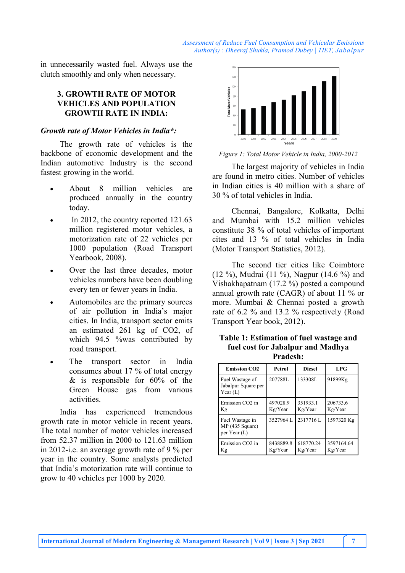in unnecessarily wasted fuel. Always use the clutch smoothly and only when necessary.

## **3. GROWTH RATE OF MOTOR VEHICLES AND POPULATION GROWTH RATE IN INDIA:**

#### *Growth rate of Motor Vehicles in India\*:*

The growth rate of vehicles is the backbone of economic development and the Indian automotive Industry is the second fastest growing in the world.

- About 8 million vehicles are produced annually in the country today.
- In 2012, the country reported 121.63 million registered motor vehicles, a motorization rate of 22 vehicles per 1000 population (Road Transport Yearbook, 2008).
- Over the last three decades, motor vehicles numbers have been doubling every ten or fewer years in India.
- Automobiles are the primary sources of air pollution in India's major cities. In India, transport sector emits an estimated 261 kg of CO2, of which 94.5 %was contributed by road transport.
- The transport sector in India consumes about 17 % of total energy & is responsible for 60% of the Green House gas from various activities.

India has experienced tremendous growth rate in motor vehicle in recent years. The total number of motor vehicles increased from 52.37 million in 2000 to 121.63 million in 2012-i.e. an average growth rate of 9 % per year in the country. Some analysts predicted that India's motorization rate will continue to grow to 40 vehicles per 1000 by 2020.



*Figure 1: Total Motor Vehicle in India, 2000-2012*

The largest majority of vehicles in India are found in metro cities. Number of vehicles in Indian cities is 40 million with a share of 30 % of total vehicles in India.

Chennai, Bangalore, Kolkatta, Delhi and Mumbai with 15.2 million vehicles constitute 38 % of total vehicles of important cites and 13 % of total vehicles in India (Motor Transport Statistics, 2012).

The second tier cities like Coimbtore (12 %), Mudrai (11 %), Nagpur (14.6 %) and Vishakhapatnam (17.2 %) posted a compound annual growth rate (CAGR) of about 11 % or more. Mumbai & Chennai posted a growth rate of 6.2 % and 13.2 % respectively (Road Transport Year book, 2012).

| Table 1: Estimation of fuel wastage and |
|-----------------------------------------|
| fuel cost for Jabalpur and Madhya       |
| <b>Pradesh:</b>                         |

| <b>Emission CO2</b>                                  | Petrol               | <b>Diesel</b>        | LPG                   |
|------------------------------------------------------|----------------------|----------------------|-----------------------|
| Fuel Wastage of<br>Jabalpur Square per<br>Year $(L)$ | 207788L              | 133308L              | 91899Kg               |
| Emission CO <sub>2</sub> in<br>Кg                    | 497028.9<br>Kg/Year  | 351933.1<br>Kg/Year  | 206733.6<br>Kg/Year   |
| Fuel Wastage in<br>MP (435 Square)<br>per Year (L)   | 3527964L             | 2317716L             | 1597320 Kg            |
| Emission CO <sub>2</sub> in<br>Κg                    | 8438889.8<br>Kg/Year | 618770.24<br>Kg/Year | 3597164.64<br>Kg/Year |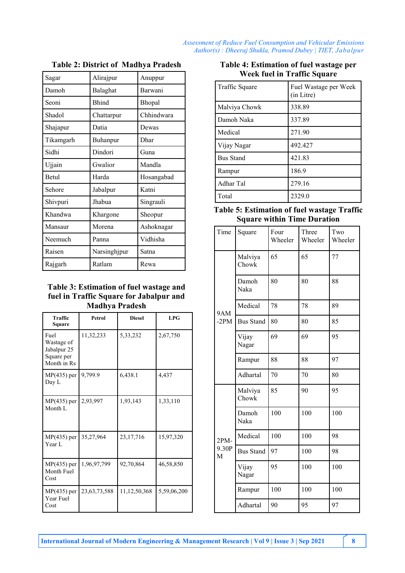| Sagar     | Alirajpur    | Anuppur    |  |
|-----------|--------------|------------|--|
| Damoh     | Balaghat     | Barwani    |  |
| Seoni     | <b>Bhind</b> | Bhopal     |  |
| Shadol    | Chattarpur   | Chhindwara |  |
| Shajapur  | Datia        | Dewas      |  |
| Tikamgarh | Buhanpur     | Dhar       |  |
| Sidhi     | Dindori      | Guna       |  |
| Ujjain    | Gwalior      | Mandla     |  |
| Betul     | Harda        | Hosangabad |  |
| Sehore    | Jabalpur     | Katni      |  |
| Shivpuri  | Jhabua       | Singrauli  |  |
| Khandwa   | Khargone     | Sheopur    |  |
| Mansaur   | Morena       | Ashoknagar |  |
| Neemuch   | Panna        | Vidhisha   |  |
| Raisen    | Narsinghjpur | Satna      |  |
| Rajgarh   | Ratlam       | Rewa       |  |

#### **Table 2: District of Madhya Pradesh**

#### **Table 3: Estimation of fuel wastage and fuel in Traffic Square for Jabalpur and Madhya Pradesh**

| <b>Traffic</b><br>Square                                       | Petrol          | <b>Diesel</b> | <b>LPG</b>  |
|----------------------------------------------------------------|-----------------|---------------|-------------|
| Fuel<br>Wastage of<br>Jabalpur 25<br>Square per<br>Month in Rs | 11,32,233       | 5,33,232      | 2,67,750    |
| $MP(435)$ per<br>Day L                                         | 9,799.9         | 6,438.1       | 4,437       |
| $MP(435)$ per<br>Month L                                       | 2,93,997        | 1,93,143      | 1,33,110    |
| $MP(435)$ per<br>Year L                                        | 35,27,964       | 23, 17, 716   | 15,97,320   |
| $MP(435)$ per<br>Month Fuel<br>Cost                            | 1,96,97,799     | 92,70,864     | 46,58,850   |
| $MP(435)$ per<br>Year Fuel<br>Cost                             | 23, 63, 73, 588 | 11,12,50,368  | 5,59,06,200 |

| Table 4: Estimation of fuel wastage per |
|-----------------------------------------|
| Week fuel in Traffic Square             |

| Traffic Square   | Fuel Wastage per Week<br>(in Litre) |
|------------------|-------------------------------------|
| Malviya Chowk    | 338.89                              |
| Damoh Naka       | 337.89                              |
| Medical          | 271.90                              |
| Vijay Nagar      | 492.427                             |
| <b>Bus Stand</b> | 421.83                              |
| Rampur           | 186.9                               |
| Adhar Tal        | 279.16                              |
| Total            | 2329.0                              |

## **Table 5: Estimation of fuel wastage Traffic Square within Time Duration**

| Time                 | Square           | Four<br>Wheeler | Three<br>Wheeler | Two<br>Wheeler |
|----------------------|------------------|-----------------|------------------|----------------|
| <b>9AM</b><br>$-2PM$ | Malviya<br>Chowk | 65              | 65               | 77             |
|                      | Damoh<br>Naka    | 80              | 80               | 88             |
|                      | Medical          | 78              | 78               | 89             |
|                      | <b>Bus Stand</b> | 80              | 80               | 85             |
|                      | Vijay<br>Nagar   | 69              | 69               | 95             |
|                      | Rampur           | 88              | 88               | 97             |
|                      | Adhartal         | 70              | 70               | 80             |
|                      | Malviya<br>Chowk | 85              | 90               | 95             |
|                      | Damoh<br>Naka    | 100             | 100              | 100            |
| $2PM-$               | Medical          | 100             | 100              | 98             |
| 9.30P<br>M           | <b>Bus Stand</b> | 97              | 100              | 98             |
|                      | Vijay<br>Nagar   | 95              | 100              | 100            |
|                      | Rampur           | 100             | 100              | 100            |
|                      | Adhartal         | 90              | 95               | 97             |